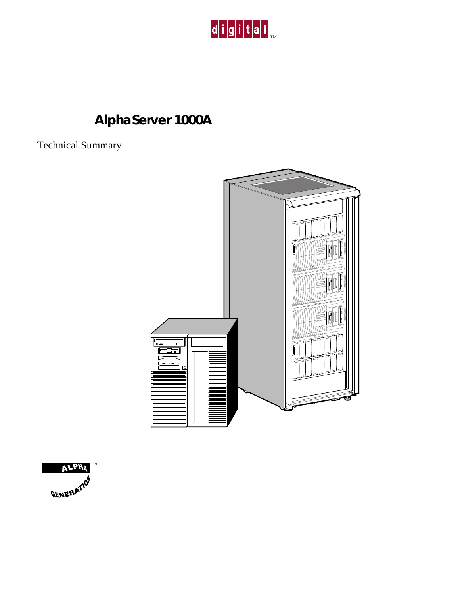

# **AlphaServer 1000A**

Technical Summary



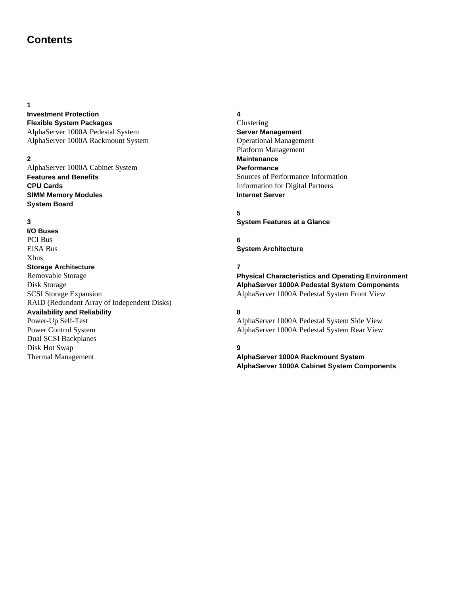# **Contents**

#### **1**

#### **Investment Protection Flexible System Packages** AlphaServer 1000A Pedestal System AlphaServer 1000A Rackmount System

#### **2**

AlphaServer 1000A Cabinet System **Features and Benefits CPU Cards SIMM Memory Modules System Board**

#### **3**

**I/O Buses** PCI Bus EISA Bus Xbus **Storage Architecture** Removable Storage Disk Storage SCSI Storage Expansion RAID (Redundant Array of Independent Disks) **Availability and Reliability** Power-Up Self-Test Power Control System Dual SCSI Backplanes Disk Hot Swap Thermal Management

#### **4**

Clustering **Server Management** Operational Management Platform Management **Maintenance Performance** Sources of Performance Information Information for Digital Partners **Internet Server**

# **5**

**System Features at a Glance**

#### **6 System Architecture**

#### **7**

**Physical Characteristics and Operating Environment AlphaServer 1000A Pedestal System Components** AlphaServer 1000A Pedestal System Front View

#### **8**

AlphaServer 1000A Pedestal System Side View AlphaServer 1000A Pedestal System Rear View

## **9**

**AlphaServer 1000A Rackmount System AlphaServer 1000A Cabinet System Components**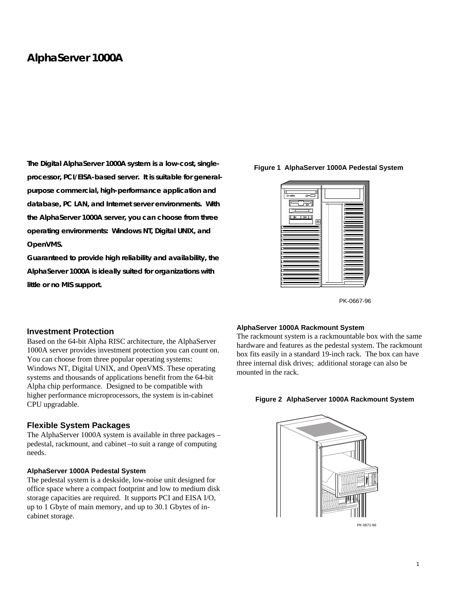# **AlphaServer 1000A**

**The Digital AlphaServer 1000A system is a low-cost, singleprocessor, PCI/EISA-based server. It is suitable for generalpurpose commercial, high-performance application and database, PC LAN, and Internet server environments. With the AlphaServer 1000A server, you can choose from three operating environments: Windows NT, Digital UNIX, and OpenVMS.**

**Guaranteed to provide high reliability and availability, the AlphaServer 1000A is ideally suited for organizations with little or no MIS support.**

#### **Figure 1 AlphaServer 1000A Pedestal System**



PK-0667-96

#### **Investment Protection**

Based on the 64-bit Alpha RISC architecture, the AlphaServer 1000A server provides investment protection you can count on. You can choose from three popular operating systems: Windows NT, Digital UNIX, and OpenVMS. These operating systems and thousands of applications benefit from the 64-bit Alpha chip performance. Designed to be compatible with higher performance microprocessors, the system is in-cabinet CPU upgradable.

#### **Flexible System Packages**

The AlphaServer 1000A system is available in three packages – pedestal, rackmount, and cabinet –to suit a range of computing needs.

#### **AlphaServer 1000A Pedestal System**

The pedestal system is a deskside, low-noise unit designed for office space where a compact footprint and low to medium disk storage capacities are required. It supports PCI and EISA I/O, up to 1 Gbyte of main memory, and up to 30.1 Gbytes of incabinet storage.

#### **AlphaServer 1000A Rackmount System**

The rackmount system is a rackmountable box with the same hardware and features as the pedestal system. The rackmount box fits easily in a standard 19-inch rack. The box can have three internal disk drives; additional storage can also be mounted in the rack.

#### **Figure 2 AlphaServer 1000A Rackmount System**



PK-0671-96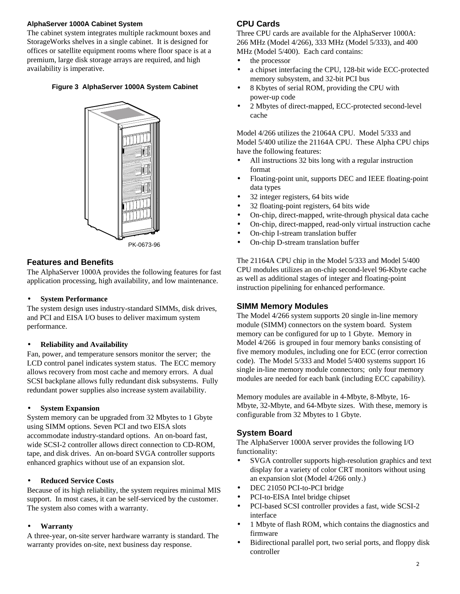#### **AlphaServer 1000A Cabinet System**

The cabinet system integrates multiple rackmount boxes and StorageWorks shelves in a single cabinet. It is designed for offices or satellite equipment rooms where floor space is at a premium, large disk storage arrays are required, and high availability is imperative.

#### **Figure 3 AlphaServer 1000A System Cabinet**



## **Features and Benefits**

The AlphaServer 1000A provides the following features for fast application processing, high availability, and low maintenance.

#### • **System Performance**

The system design uses industry-standard SIMMs, disk drives, and PCI and EISA I/O buses to deliver maximum system performance.

#### • **Reliability and Availability**

Fan, power, and temperature sensors monitor the server; the LCD control panel indicates system status. The ECC memory allows recovery from most cache and memory errors. A dual SCSI backplane allows fully redundant disk subsystems. Fully redundant power supplies also increase system availability.

#### • **System Expansion**

System memory can be upgraded from 32 Mbytes to 1 Gbyte using SIMM options. Seven PCI and two EISA slots accommodate industry-standard options. An on-board fast, wide SCSI-2 controller allows direct connection to CD-ROM, tape, and disk drives. An on-board SVGA controller supports enhanced graphics without use of an expansion slot.

#### • **Reduced Service Costs**

Because of its high reliability, the system requires minimal MIS support. In most cases, it can be self-serviced by the customer. The system also comes with a warranty.

#### • **Warranty**

A three-year, on-site server hardware warranty is standard. The warranty provides on-site, next business day response.

## **CPU Cards**

Three CPU cards are available for the AlphaServer 1000A: 266 MHz (Model 4/266), 333 MHz (Model 5/333), and 400 MHz (Model 5/400). Each card contains:

- the processor
- a chipset interfacing the CPU, 128-bit wide ECC-protected memory subsystem, and 32-bit PCI bus
- 8 Kbytes of serial ROM, providing the CPU with power-up code
- 2 Mbytes of direct-mapped, ECC-protected second-level cache

Model 4/266 utilizes the 21064A CPU. Model 5/333 and Model 5/400 utilize the 21164A CPU. These Alpha CPU chips have the following features:

- All instructions 32 bits long with a regular instruction format
- Floating-point unit, supports DEC and IEEE floating-point data types
- 32 integer registers, 64 bits wide
- 32 floating-point registers, 64 bits wide
- On-chip, direct-mapped, write-through physical data cache
- On-chip, direct-mapped, read-only virtual instruction cache
- On-chip I-stream translation buffer
- On-chip D-stream translation buffer

The 21164A CPU chip in the Model 5/333 and Model 5/400 CPU modules utilizes an on-chip second-level 96-Kbyte cache as well as additional stages of integer and floating-point instruction pipelining for enhanced performance.

## **SIMM Memory Modules**

The Model 4/266 system supports 20 single in-line memory module (SIMM) connectors on the system board. System memory can be configured for up to 1 Gbyte. Memory in Model 4/266 is grouped in four memory banks consisting of five memory modules, including one for ECC (error correction code). The Model 5/333 and Model 5/400 systems support 16 single in-line memory module connectors; only four memory modules are needed for each bank (including ECC capability).

Memory modules are available in 4-Mbyte, 8-Mbyte, 16- Mbyte, 32-Mbyte, and 64-Mbyte sizes. With these, memory is configurable from 32 Mbytes to 1 Gbyte.

## **System Board**

The AlphaServer 1000A server provides the following I/O functionality:

- SVGA controller supports high-resolution graphics and text display for a variety of color CRT monitors without using an expansion slot (Model 4/266 only.)
- DEC 21050 PCI-to-PCI bridge
- PCI-to-EISA Intel bridge chipset
- PCI-based SCSI controller provides a fast, wide SCSI-2 interface
- 1 Mbyte of flash ROM, which contains the diagnostics and firmware
- Bidirectional parallel port, two serial ports, and floppy disk controller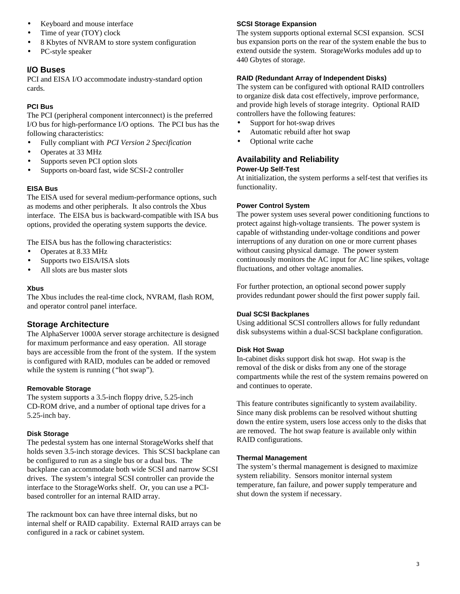- Keyboard and mouse interface
- Time of year (TOY) clock
- 8 Kbytes of NVRAM to store system configuration
- PC-style speaker

## **I/O Buses**

PCI and EISA I/O accommodate industry-standard option cards.

## **PCI Bus**

The PCI (peripheral component interconnect) is the preferred I/O bus for high-performance I/O options. The PCI bus has the following characteristics:

- Fully compliant with *PCI Version 2 Specification*
- Operates at 33 MHz
- Supports seven PCI option slots
- Supports on-board fast, wide SCSI-2 controller

## **EISA Bus**

The EISA used for several medium-performance options, such as modems and other peripherals. It also controls the Xbus interface. The EISA bus is backward-compatible with ISA bus options, provided the operating system supports the device.

The EISA bus has the following characteristics:

- Operates at 8.33 MHz
- Supports two EISA/ISA slots
- All slots are bus master slots

## **Xbus**

The Xbus includes the real-time clock, NVRAM, flash ROM, and operator control panel interface.

## **Storage Architecture**

The AlphaServer 1000A server storage architecture is designed for maximum performance and easy operation. All storage bays are accessible from the front of the system. If the system is configured with RAID, modules can be added or removed while the system is running ("hot swap").

## **Removable Storage**

The system supports a 3.5-inch floppy drive, 5.25-inch CD-ROM drive, and a number of optional tape drives for a 5.25-inch bay.

## **Disk Storage**

The pedestal system has one internal StorageWorks shelf that holds seven 3.5-inch storage devices. This SCSI backplane can be configured to run as a single bus or a dual bus. The backplane can accommodate both wide SCSI and narrow SCSI drives. The system's integral SCSI controller can provide the interface to the StorageWorks shelf. Or, you can use a PCIbased controller for an internal RAID array.

The rackmount box can have three internal disks, but no internal shelf or RAID capability. External RAID arrays can be configured in a rack or cabinet system.

## **SCSI Storage Expansion**

The system supports optional external SCSI expansion. SCSI bus expansion ports on the rear of the system enable the bus to extend outside the system. StorageWorks modules add up to 440 Gbytes of storage.

## **RAID (Redundant Array of Independent Disks)**

The system can be configured with optional RAID controllers to organize disk data cost effectively, improve performance, and provide high levels of storage integrity. Optional RAID controllers have the following features:

- Support for hot-swap drives
- Automatic rebuild after hot swap
- Optional write cache

## **Availability and Reliability Power-Up Self-Test**

At initialization, the system performs a self-test that verifies its functionality.

## **Power Control System**

The power system uses several power conditioning functions to protect against high-voltage transients. The power system is capable of withstanding under-voltage conditions and power interruptions of any duration on one or more current phases without causing physical damage. The power system continuously monitors the AC input for AC line spikes, voltage fluctuations, and other voltage anomalies.

For further protection, an optional second power supply provides redundant power should the first power supply fail.

#### **Dual SCSI Backplanes**

Using additional SCSI controllers allows for fully redundant disk subsystems within a dual-SCSI backplane configuration.

#### **Disk Hot Swap**

In-cabinet disks support disk hot swap. Hot swap is the removal of the disk or disks from any one of the storage compartments while the rest of the system remains powered on and continues to operate.

This feature contributes significantly to system availability. Since many disk problems can be resolved without shutting down the entire system, users lose access only to the disks that are removed. The hot swap feature is available only within RAID configurations.

#### **Thermal Management**

The system's thermal management is designed to maximize system reliability. Sensors monitor internal system temperature, fan failure, and power supply temperature and shut down the system if necessary.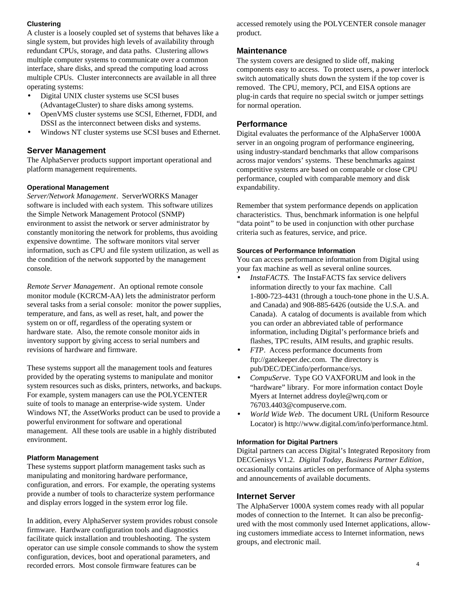## **Clustering**

A cluster is a loosely coupled set of systems that behaves like a single system, but provides high levels of availability through redundant CPUs, storage, and data paths. Clustering allows multiple computer systems to communicate over a common interface, share disks, and spread the computing load across multiple CPUs. Cluster interconnects are available in all three operating systems:

- Digital UNIX cluster systems use SCSI buses (AdvantageCluster) to share disks among systems.
- OpenVMS cluster systems use SCSI, Ethernet, FDDI, and DSSI as the interconnect between disks and systems.
- Windows NT cluster systems use SCSI buses and Ethernet.

## **Server Management**

The AlphaServer products support important operational and platform management requirements.

## **Operational Management**

*Server/Network Management*. ServerWORKS Manager software is included with each system. This software utilizes the Simple Network Management Protocol (SNMP) environment to assist the network or server administrator by constantly monitoring the network for problems, thus avoiding expensive downtime. The software monitors vital server information, such as CPU and file system utilization, as well as the condition of the network supported by the management console.

*Remote Server Management*. An optional remote console monitor module (KCRCM-AA) lets the administrator perform several tasks from a serial console: monitor the power supplies, temperature, and fans, as well as reset, halt, and power the system on or off, regardless of the operating system or hardware state. Also, the remote console monitor aids in inventory support by giving access to serial numbers and revisions of hardware and firmware.

These systems support all the management tools and features provided by the operating systems to manipulate and monitor system resources such as disks, printers, networks, and backups. For example, system managers can use the POLYCENTER suite of tools to manage an enterprise-wide system. Under Windows NT, the AssetWorks product can be used to provide a powerful environment for software and operational management. All these tools are usable in a highly distributed environment.

#### **Platform Management**

These systems support platform management tasks such as manipulating and monitoring hardware performance, configuration, and errors. For example, the operating systems provide a number of tools to characterize system performance and display errors logged in the system error log file.

In addition, every AlphaServer system provides robust console firmware. Hardware configuration tools and diagnostics facilitate quick installation and troubleshooting. The system operator can use simple console commands to show the system configuration, devices, boot and operational parameters, and recorded errors. Most console firmware features can be

accessed remotely using the POLYCENTER console manager product.

## **Maintenance**

The system covers are designed to slide off, making components easy to access. To protect users, a power interlock switch automatically shuts down the system if the top cover is removed. The CPU, memory, PCI, and EISA options are plug-in cards that require no special switch or jumper settings for normal operation.

## **Performance**

Digital evaluates the performance of the AlphaServer 1000A server in an ongoing program of performance engineering, using industry-standard benchmarks that allow comparisons across major vendors' systems. These benchmarks against competitive systems are based on comparable or close CPU performance, coupled with comparable memory and disk expandability.

Remember that system performance depends on application characteristics. Thus, benchmark information is one helpful "data point" to be used in conjunction with other purchase criteria such as features, service, and price.

## **Sources of Performance Information**

You can access performance information from Digital using your fax machine as well as several online sources.

- *InstaFACTS*. The InstaFACTS fax service delivers information directly to your fax machine. Call 1-800-723-4431 (through a touch-tone phone in the U.S.A. and Canada) and 908-885-6426 (outside the U.S.A. and Canada). A catalog of documents is available from which you can order an abbreviated table of performance information, including Digital's performance briefs and flashes, TPC results, AIM results, and graphic results.
- *FTP*. Access performance documents from ftp://gatekeeper.dec.com. The directory is pub/DEC/DECinfo/performance/sys.
- *CompuServe*. Type GO VAXFORUM and look in the "hardware" library. For more information contact Doyle Myers at Internet address doyle@wrq.com or 76703.4403@compuserve.com.
- *World Wide Web*. The document URL (Uniform Resource Locator) is http://www.digital.com/info/performance.html.

#### **Information for Digital Partners**

Digital partners can access Digital's Integrated Repository from DECGenisys V1.2. *Digital Today*, *Business Partner Edition*, occasionally contains articles on performance of Alpha systems and announcements of available documents.

## **Internet Server**

The AlphaServer 1000A system comes ready with all popular modes of connection to the Internet. It can also be preconfigured with the most commonly used Internet applications, allowing customers immediate access to Internet information, news groups, and electronic mail.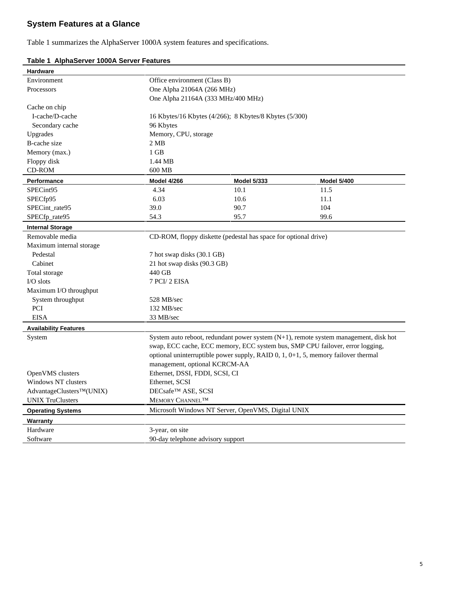# **System Features at a Glance**

Table 1 summarizes the AlphaServer 1000A system features and specifications.

| Hardware                     |                                                                                                                                                                       |                                                                                      |                    |  |
|------------------------------|-----------------------------------------------------------------------------------------------------------------------------------------------------------------------|--------------------------------------------------------------------------------------|--------------------|--|
| Environment                  | Office environment (Class B)                                                                                                                                          |                                                                                      |                    |  |
| Processors                   | One Alpha 21064A (266 MHz)                                                                                                                                            |                                                                                      |                    |  |
|                              | One Alpha 21164A (333 MHz/400 MHz)                                                                                                                                    |                                                                                      |                    |  |
| Cache on chip                |                                                                                                                                                                       |                                                                                      |                    |  |
| I-cache/D-cache              | 16 Kbytes/16 Kbytes (4/266); 8 Kbytes/8 Kbytes (5/300)                                                                                                                |                                                                                      |                    |  |
| Secondary cache              | 96 Kbytes                                                                                                                                                             |                                                                                      |                    |  |
| Upgrades                     | Memory, CPU, storage                                                                                                                                                  |                                                                                      |                    |  |
| <b>B-cache size</b>          | 2MB                                                                                                                                                                   |                                                                                      |                    |  |
| Memory (max.)                | $1$ GB                                                                                                                                                                |                                                                                      |                    |  |
| Floppy disk                  | 1.44 MB                                                                                                                                                               |                                                                                      |                    |  |
| CD-ROM                       | 600 MB                                                                                                                                                                |                                                                                      |                    |  |
| Performance                  | <b>Model 4/266</b>                                                                                                                                                    | <b>Model 5/333</b>                                                                   | <b>Model 5/400</b> |  |
| SPECint95                    | 4.34                                                                                                                                                                  | 10.1                                                                                 | 11.5               |  |
| SPECfp95                     | 6.03                                                                                                                                                                  | 10.6                                                                                 | 11.1               |  |
| SPECint_rate95               | 39.0                                                                                                                                                                  | 90.7                                                                                 | 104                |  |
| SPECfp_rate95                | 54.3                                                                                                                                                                  | 95.7                                                                                 | 99.6               |  |
| <b>Internal Storage</b>      |                                                                                                                                                                       |                                                                                      |                    |  |
| Removable media              |                                                                                                                                                                       | CD-ROM, floppy diskette (pedestal has space for optional drive)                      |                    |  |
| Maximum internal storage     |                                                                                                                                                                       |                                                                                      |                    |  |
| Pedestal                     | 7 hot swap disks (30.1 GB)                                                                                                                                            |                                                                                      |                    |  |
| Cabinet                      | 21 hot swap disks (90.3 GB)                                                                                                                                           |                                                                                      |                    |  |
| Total storage                | 440 GB                                                                                                                                                                |                                                                                      |                    |  |
| $IO slots$                   | 7 PCI/ 2 EISA                                                                                                                                                         |                                                                                      |                    |  |
| Maximum I/O throughput       |                                                                                                                                                                       |                                                                                      |                    |  |
| System throughput            | 528 MB/sec                                                                                                                                                            |                                                                                      |                    |  |
| PCI                          | 132 MB/sec                                                                                                                                                            |                                                                                      |                    |  |
| <b>EISA</b>                  | 33 MB/sec                                                                                                                                                             |                                                                                      |                    |  |
| <b>Availability Features</b> |                                                                                                                                                                       |                                                                                      |                    |  |
| System                       | System auto reboot, redundant power system (N+1), remote system management, disk hot<br>swap, ECC cache, ECC memory, ECC system bus, SMP CPU failover, error logging, |                                                                                      |                    |  |
|                              |                                                                                                                                                                       |                                                                                      |                    |  |
|                              |                                                                                                                                                                       | optional uninterruptible power supply, RAID $0, 1, 0+1, 5$ , memory failover thermal |                    |  |
|                              | management, optional KCRCM-AA                                                                                                                                         |                                                                                      |                    |  |
| OpenVMS clusters             | Ethernet, DSSI, FDDI, SCSI, CI                                                                                                                                        |                                                                                      |                    |  |
| Windows NT clusters          | Ethernet, SCSI                                                                                                                                                        |                                                                                      |                    |  |
| AdvantageClusters™(UNIX)     | DECsafe™ ASE, SCSI                                                                                                                                                    |                                                                                      |                    |  |
| <b>UNIX TruClusters</b>      | MEMORY CHANNEL <sup>TM</sup>                                                                                                                                          |                                                                                      |                    |  |
| <b>Operating Systems</b>     | Microsoft Windows NT Server, OpenVMS, Digital UNIX                                                                                                                    |                                                                                      |                    |  |
| Warranty                     |                                                                                                                                                                       |                                                                                      |                    |  |
| Hardware                     | 3-year, on site                                                                                                                                                       |                                                                                      |                    |  |
| Software                     | 90-day telephone advisory support                                                                                                                                     |                                                                                      |                    |  |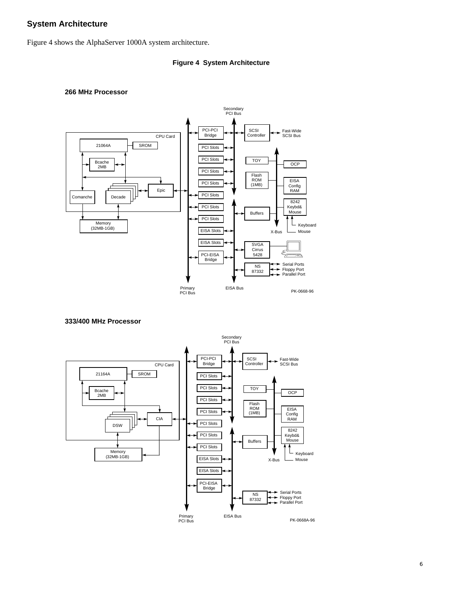## **System Architecture**

Figure 4 shows the AlphaServer 1000A system architecture.

## **Figure 4 System Architecture**



#### **266 MHz Processor**



**333/400 MHz Processor**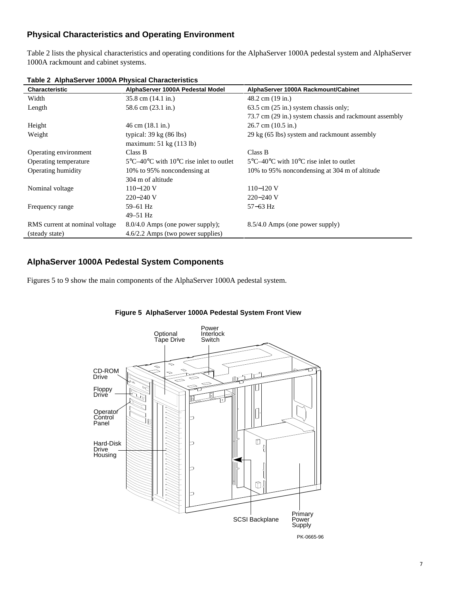## **Physical Characteristics and Operating Environment**

Table 2 lists the physical characteristics and operating conditions for the AlphaServer 1000A pedestal system and AlphaServer 1000A rackmount and cabinet systems.

| Characteristic                 | AlphaServer 1000A Pedestal Model                                        | AlphaServer 1000A Rackmount/Cabinet                                     |
|--------------------------------|-------------------------------------------------------------------------|-------------------------------------------------------------------------|
| Width                          | $35.8$ cm $(14.1 \text{ in.})$                                          | 48.2 cm (19 in.)                                                        |
| Length                         | 58.6 cm (23.1 in.)                                                      | 63.5 cm (25 in.) system chassis only;                                   |
|                                |                                                                         | 73.7 cm (29 in.) system chassis and rackmount assembly                  |
| Height                         | $46 \text{ cm } (18.1 \text{ in.})$                                     | $26.7$ cm $(10.5$ in.)                                                  |
| Weight                         | typical: $39 \text{ kg}$ (86 lbs)                                       | 29 kg (65 lbs) system and rackmount assembly                            |
|                                | maximum: 51 kg (113 lb)                                                 |                                                                         |
| Operating environment          | Class B                                                                 | Class B                                                                 |
| Operating temperature          | $5^{\circ}$ C-40 $^{\circ}$ C with 10 $^{\circ}$ C rise inlet to outlet | $5^{\circ}$ C-40 $^{\circ}$ C with 10 $^{\circ}$ C rise inlet to outlet |
| Operating humidity             | 10% to 95% noncondensing at                                             | 10% to 95% noncondensing at 304 m of altitude                           |
|                                | 304 m of altitude                                                       |                                                                         |
| Nominal voltage                | $110 - 120$ V                                                           | $110 - 120$ V                                                           |
|                                | $220 - 240$ V                                                           | $220 - 240$ V                                                           |
| Frequency range                | 59-61 Hz                                                                | $57 - 63$ Hz                                                            |
|                                | $49 - 51$ Hz                                                            |                                                                         |
| RMS current at nominal voltage | $8.0/4.0$ Amps (one power supply);                                      | 8.5/4.0 Amps (one power supply)                                         |
| (steady state)                 | 4.6/2.2 Amps (two power supplies)                                       |                                                                         |

**Table 2 AlphaServer 1000A Physical Characteristics**

## **AlphaServer 1000A Pedestal System Components**

l,

Figures 5 to 9 show the main components of the AlphaServer 1000A pedestal system.



## **Figure 5 AlphaServer 1000A Pedestal System Front View**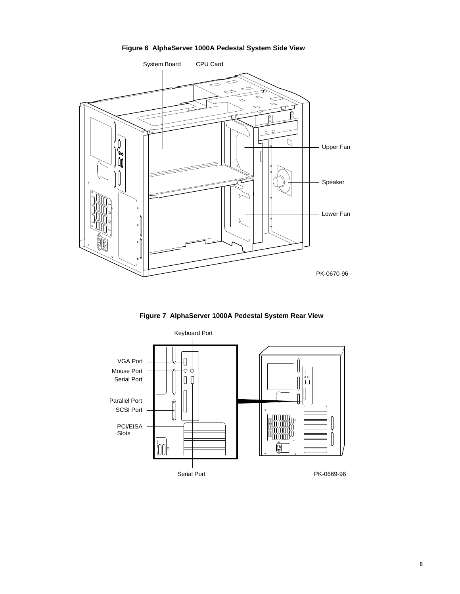## **Figure 6 AlphaServer 1000A Pedestal System Side View**



**Figure 7 AlphaServer 1000A Pedestal System Rear View**

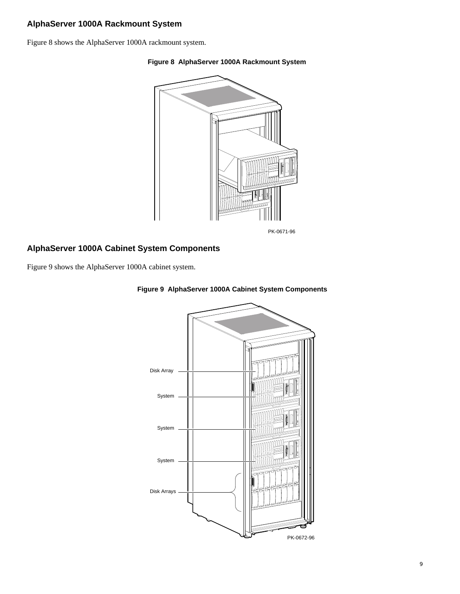# **AlphaServer 1000A Rackmount System**

Figure 8 shows the AlphaServer 1000A rackmount system.

#### **Figure 8 AlphaServer 1000A Rackmount System**



## **AlphaServer 1000A Cabinet System Components**

Figure 9 shows the AlphaServer 1000A cabinet system.



## **Figure 9 AlphaServer 1000A Cabinet System Components**